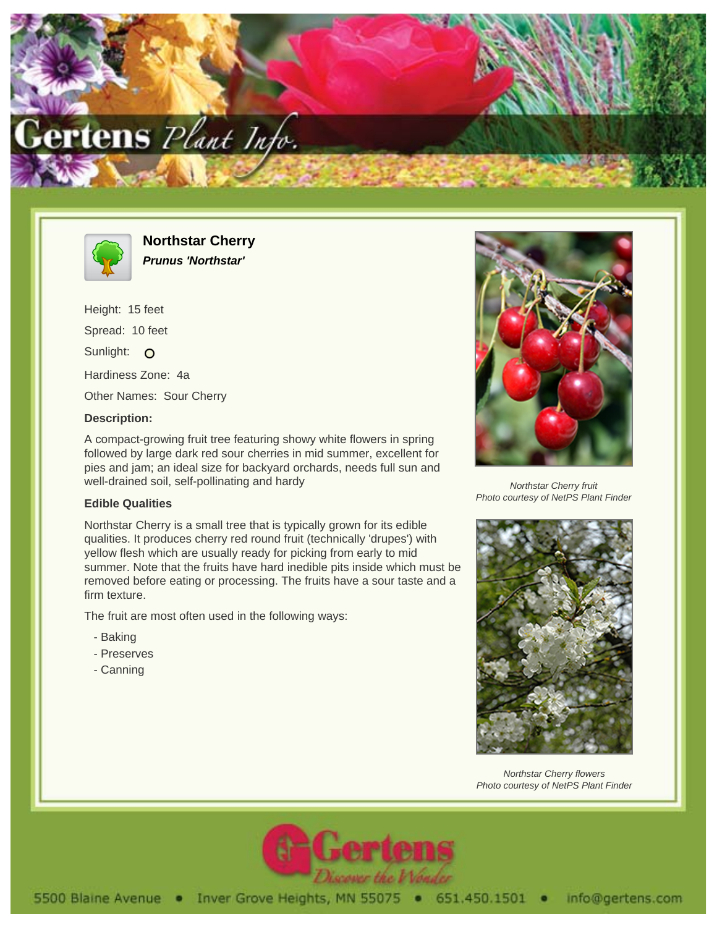



**Northstar Cherry Prunus 'Northstar'**

Height: 15 feet Spread: 10 feet Sunlight: O Hardiness Zone: 4a Other Names: Sour Cherry

## **Description:**

A compact-growing fruit tree featuring showy white flowers in spring followed by large dark red sour cherries in mid summer, excellent for pies and jam; an ideal size for backyard orchards, needs full sun and well-drained soil, self-pollinating and hardy

## **Edible Qualities**

Northstar Cherry is a small tree that is typically grown for its edible qualities. It produces cherry red round fruit (technically 'drupes') with yellow flesh which are usually ready for picking from early to mid summer. Note that the fruits have hard inedible pits inside which must be removed before eating or processing. The fruits have a sour taste and a firm texture.

The fruit are most often used in the following ways:

- Baking
- Preserves
- Canning



Northstar Cherry fruit Photo courtesy of NetPS Plant Finder



Northstar Cherry flowers Photo courtesy of NetPS Plant Finder